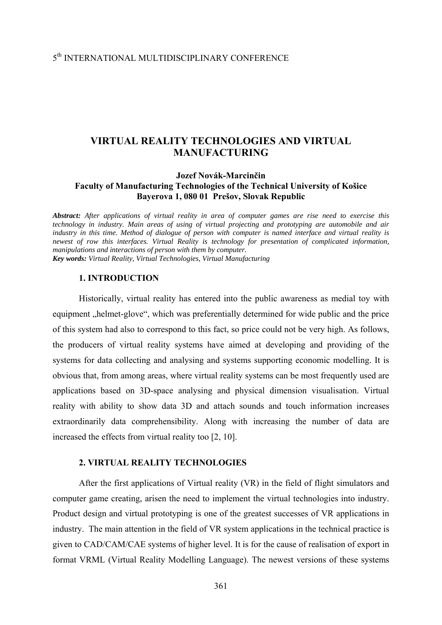# 5th INTERNATIONAL MULTIDISCIPLINARY CONFERENCE

# **VIRTUAL REALITY TECHNOLOGIES AND VIRTUAL MANUFACTURING**

# **Jozef Novák-Marcinčin Faculty of Manufacturing Technologies of the Technical University of Košice Bayerova 1, 080 01 Prešov, Slovak Republic**

*Abstract: After applications of virtual reality in area of computer games are rise need to exercise this technology in industry. Main areas of using of virtual projecting and prototyping are automobile and air industry in this time. Method of dialogue of person with computer is named interface and virtual reality is newest of row this interfaces. Virtual Reality is technology for presentation of complicated information, manipulations and interactions of person with them by computer. Key words: Virtual Reality, Virtual Technologies, Virtual Manufacturing* 

#### **1. INTRODUCTION**

 Historically, virtual reality has entered into the public awareness as medial toy with equipment "helmet-glove", which was preferentially determined for wide public and the price of this system had also to correspond to this fact, so price could not be very high. As follows, the producers of virtual reality systems have aimed at developing and providing of the systems for data collecting and analysing and systems supporting economic modelling. It is obvious that, from among areas, where virtual reality systems can be most frequently used are applications based on 3D-space analysing and physical dimension visualisation. Virtual reality with ability to show data 3D and attach sounds and touch information increases extraordinarily data comprehensibility. Along with increasing the number of data are increased the effects from virtual reality too [2, 10].

# **2. VIRTUAL REALITY TECHNOLOGIES**

 After the first applications of Virtual reality (VR) in the field of flight simulators and computer game creating, arisen the need to implement the virtual technologies into industry. Product design and virtual prototyping is one of the greatest successes of VR applications in industry. The main attention in the field of VR system applications in the technical practice is given to CAD/CAM/CAE systems of higher level. It is for the cause of realisation of export in format VRML (Virtual Reality Modelling Language). The newest versions of these systems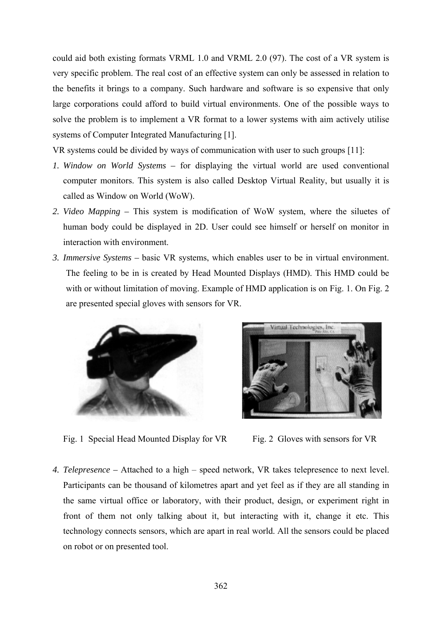could aid both existing formats VRML 1.0 and VRML 2.0 (97). The cost of a VR system is very specific problem. The real cost of an effective system can only be assessed in relation to the benefits it brings to a company. Such hardware and software is so expensive that only large corporations could afford to build virtual environments. One of the possible ways to solve the problem is to implement a VR format to a lower systems with aim actively utilise systems of Computer Integrated Manufacturing [1].

VR systems could be divided by ways of communication with user to such groups [11]:

- *1. Window on World Systems –* for displaying the virtual world are used conventional computer monitors. This system is also called Desktop Virtual Reality, but usually it is called as Window on World (WoW).
- *2. Video Mapping –* This system is modification of WoW system, where the siluetes of human body could be displayed in 2D. User could see himself or herself on monitor in interaction with environment.
- *3. Immersive Systems* basic VR systems, which enables user to be in virtual environment. The feeling to be in is created by Head Mounted Displays (HMD). This HMD could be with or without limitation of moving. Example of HMD application is on Fig. 1. On Fig. 2 are presented special gloves with sensors for VR.



Fig. 1 Special Head Mounted Display for VR Fig. 2 Gloves with sensors for VR



*4. Telepresence –* Attached to a high – speed network, VR takes telepresence to next level. Participants can be thousand of kilometres apart and yet feel as if they are all standing in the same virtual office or laboratory, with their product, design, or experiment right in front of them not only talking about it, but interacting with it, change it etc. This technology connects sensors, which are apart in real world. All the sensors could be placed on robot or on presented tool.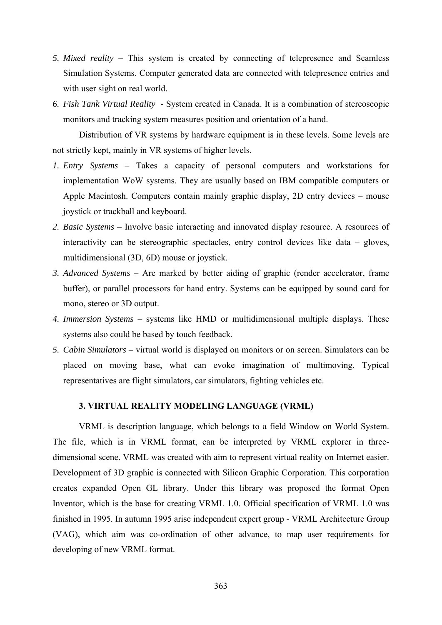- *5. Mixed reality –* This system is created by connecting of telepresence and Seamless Simulation Systems. Computer generated data are connected with telepresence entries and with user sight on real world.
- *6. Fish Tank Virtual Reality -* System created in Canada. It is a combination of stereoscopic monitors and tracking system measures position and orientation of a hand.

Distribution of VR systems by hardware equipment is in these levels. Some levels are not strictly kept, mainly in VR systems of higher levels.

- *1. Entry Systems* Takes a capacity of personal computers and workstations for implementation WoW systems. They are usually based on IBM compatible computers or Apple Macintosh. Computers contain mainly graphic display, 2D entry devices – mouse joystick or trackball and keyboard.
- *2. Basic Systems* Involve basic interacting and innovated display resource. A resources of interactivity can be stereographic spectacles, entry control devices like data – gloves, multidimensional (3D, 6D) mouse or joystick.
- *3. Advanced Systems –* Are marked by better aiding of graphic (render accelerator, frame buffer), or parallel processors for hand entry. Systems can be equipped by sound card for mono, stereo or 3D output.
- *4. Immersion Systems –* systems like HMD or multidimensional multiple displays. These systems also could be based by touch feedback.
- *5. Cabin Simulators –* virtual world is displayed on monitors or on screen. Simulators can be placed on moving base, what can evoke imagination of multimoving. Typical representatives are flight simulators, car simulators, fighting vehicles etc.

#### **3. VIRTUAL REALITY MODELING LANGUAGE (VRML)**

 VRML is description language, which belongs to a field Window on World System. The file, which is in VRML format, can be interpreted by VRML explorer in threedimensional scene. VRML was created with aim to represent virtual reality on Internet easier. Development of 3D graphic is connected with Silicon Graphic Corporation. This corporation creates expanded Open GL library. Under this library was proposed the format Open Inventor, which is the base for creating VRML 1.0. Official specification of VRML 1.0 was finished in 1995. In autumn 1995 arise independent expert group - VRML Architecture Group (VAG), which aim was co-ordination of other advance, to map user requirements for developing of new VRML format.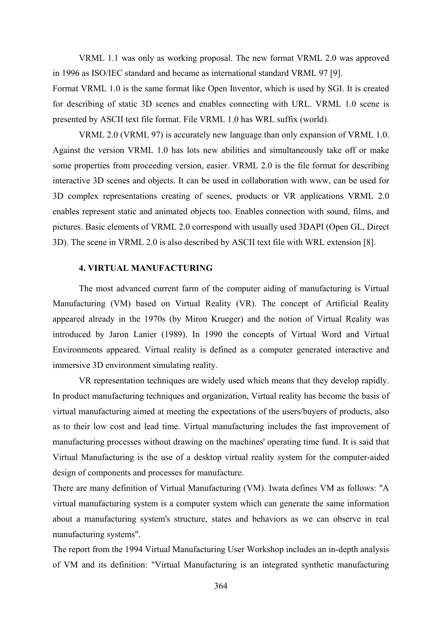VRML 1.1 was only as working proposal. The new format VRML 2.0 was approved in 1996 as ISO/IEC standard and became as international standard VRML 97 [9].

Format VRML 1.0 is the same format like Open Inventor, which is used by SGI. It is created for describing of static 3D scenes and enables connecting with URL. VRML 1.0 scene is presented by ASCII text file format. File VRML 1.0 has WRL suffix (world).

 VRML 2.0 (VRML 97) is accurately new language than only expansion of VRML 1.0. Against the version VRML 1.0 has lots new abilities and simultaneously take off or make some properties from proceeding version, easier. VRML 2.0 is the file format for describing interactive 3D scenes and objects. It can be used in collaboration with www, can be used for 3D complex representations creating of scenes, products or VR applications VRML 2.0 enables represent static and animated objects too. Enables connection with sound, films, and pictures. Basic elements of VRML 2.0 correspond with usually used 3DAPI (Open GL, Direct 3D). The scene in VRML 2.0 is also described by ASCII text file with WRL extension [8].

## **4. VIRTUAL MANUFACTURING**

The most advanced current farm of the computer aiding of manufacturing is Virtual Manufacturing (VM) based on Virtual Reality (VR). The concept of Artificial Reality appeared already in the 1970s (by Miron Krueger) and the notion of Virtual Reality was introduced by Jaron Lanier (1989). In 1990 the concepts of Virtual Word and Virtual Environments appeared. Virtual reality is defined as a computer generated interactive and immersive 3D environment simulating reality.

VR representation techniques are widely used which means that they develop rapidly. In product manufacturing techniques and organization, Virtual reality has become the basis of virtual manufacturing aimed at meeting the expectations of the users/buyers of products, also as to their low cost and lead time. Virtual manufacturing includes the fast improvement of manufacturing processes without drawing on the machines' operating time fund. It is said that Virtual Manufacturing is the use of a desktop virtual reality system for the computer-aided design of components and processes for manufacture.

There are many definition of Virtual Manufacturing (VM). Iwata defines VM as follows: "A virtual manufacturing system is a computer system which can generate the same information about a manufacturing system's structure, states and behaviors as we can observe in real manufacturing systems".

The report from the 1994 Virtual Manufacturing User Workshop includes an in-depth analysis of VM and its definition: "Virtual Manufacturing is an integrated synthetic manufacturing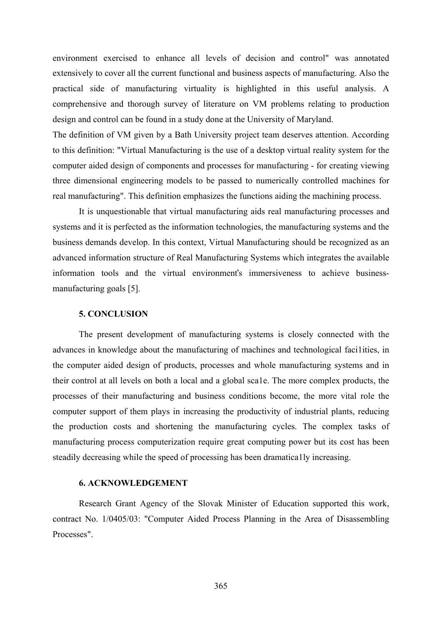environment exercised to enhance all levels of decision and control" was annotated extensively to cover all the current functional and business aspects of manufacturing. Also the practical side of manufacturing virtuality is highlighted in this useful analysis. A comprehensive and thorough survey of literature on VM problems relating to production design and control can be found in a study done at the University of Maryland.

The definition of VM given by a Bath University project team deserves attention. According to this definition: "Virtual Manufacturing is the use of a desktop virtual reality system for the computer aided design of components and processes for manufacturing - for creating viewing three dimensional engineering models to be passed to numerically controlled machines for real manufacturing". This definition emphasizes the functions aiding the machining process.

It is unquestionable that virtual manufacturing aids real manufacturing processes and systems and it is perfected as the information technologies, the manufacturing systems and the business demands develop. In this context, Virtual Manufacturing should be recognized as an advanced information structure of Real Manufacturing Systems which integrates the available information tools and the virtual environmenťs immersiveness to achieve businessmanufacturing goals [5].

## **5. CONCLUSION**

The present development of manufacturing systems is closely connected with the advances in knowledge about the manufacturing of machines and technological faci1ities, in the computer aided design of products, processes and whole manufacturing systems and in their control at all levels on both a local and a global sca1e. The more complex products, the processes of their manufacturing and business conditions become, the more vital role the computer support of them plays in increasing the productivity of industrial plants, reducing the production costs and shortening the manufacturing cycles. The complex tasks of manufacturing process computerization require great computing power but its cost has been steadily decreasing while the speed of processing has been dramatica1ly increasing.

## **6. ACKNOWLEDGEMENT**

 Research Grant Agency of the Slovak Minister of Education supported this work, contract No. 1/0405/03: "Computer Aided Process Planning in the Area of Disassembling Processes".